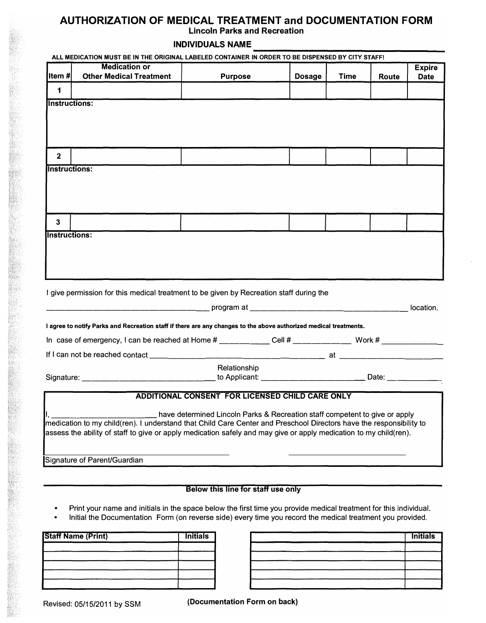## **AUTHORIZATION OF MEDICAL TREATMENT and DOCUMENTATION FORM Lincoln Parks and Recreation**

## **INDIVIDUALS NAME**

|                      | <b>Medication or</b>                                                                                                |                                                                             |               |             |              | <b>Expire</b> |
|----------------------|---------------------------------------------------------------------------------------------------------------------|-----------------------------------------------------------------------------|---------------|-------------|--------------|---------------|
| lltem #l             | <b>Other Medical Treatment</b>                                                                                      | <b>Purpose</b>                                                              | <b>Dosage</b> | <b>Time</b> | <b>Route</b> | <b>Date</b>   |
| 1                    |                                                                                                                     |                                                                             |               |             |              |               |
| <b>Instructions:</b> |                                                                                                                     |                                                                             |               |             |              |               |
|                      |                                                                                                                     |                                                                             |               |             |              |               |
|                      |                                                                                                                     |                                                                             |               |             |              |               |
|                      |                                                                                                                     |                                                                             |               |             |              |               |
| $\mathbf{2}$         |                                                                                                                     |                                                                             |               |             |              |               |
|                      |                                                                                                                     |                                                                             |               |             |              |               |
| <b>Instructions:</b> |                                                                                                                     |                                                                             |               |             |              |               |
|                      |                                                                                                                     |                                                                             |               |             |              |               |
|                      |                                                                                                                     |                                                                             |               |             |              |               |
|                      |                                                                                                                     |                                                                             |               |             |              |               |
| 3                    |                                                                                                                     |                                                                             |               |             |              |               |
| Instructions:        |                                                                                                                     |                                                                             |               |             |              |               |
|                      |                                                                                                                     |                                                                             |               |             |              |               |
|                      |                                                                                                                     |                                                                             |               |             |              |               |
|                      |                                                                                                                     |                                                                             |               |             |              |               |
|                      |                                                                                                                     |                                                                             |               |             |              |               |
|                      |                                                                                                                     |                                                                             |               |             |              |               |
|                      | I give permission for this medical treatment to be given by Recreation staff during the                             |                                                                             |               |             |              |               |
|                      |                                                                                                                     |                                                                             |               |             |              |               |
|                      |                                                                                                                     |                                                                             |               |             |              |               |
|                      | I agree to notify Parks and Recreation staff if there are any changes to the above authorized medical treatments.   |                                                                             |               |             |              |               |
|                      | In case of emergency, I can be reached at Home $\#$ __________ Cell $\#$ ____________ Work $\#$ _____________       |                                                                             |               |             |              |               |
|                      |                                                                                                                     |                                                                             |               |             |              | location.     |
|                      |                                                                                                                     | Relationship                                                                |               |             |              |               |
|                      | Signature: __________________________________to Applicant: ________________________________Date: _____________      |                                                                             |               |             |              |               |
|                      |                                                                                                                     |                                                                             |               |             |              |               |
|                      |                                                                                                                     | <b>ADDITIONAL CONSENT FOR LICENSED CHILD CARE ONLY</b>                      |               |             |              |               |
|                      |                                                                                                                     | have determined Lincoln Parks & Recreation staff competent to give or apply |               |             |              |               |
|                      | medication to my child(ren). I understand that Child Care Center and Preschool Directors have the responsibility to |                                                                             |               |             |              |               |
|                      | assess the ability of staff to give or apply medication safely and may give or apply medication to my child(ren).   |                                                                             |               |             |              |               |
|                      | Signature of Parent/Guardian                                                                                        |                                                                             |               |             |              |               |

## **Below this line for staff use only**

- Print your name and initials in the space below the first time you provide medical treatment for this individual.
- Initial the Documentation Form (on reverse side) every time you record the medical treatment you provided.

| <b>Initials</b> | <b>Staff Name (Print)</b> |  |  |
|-----------------|---------------------------|--|--|
|                 |                           |  |  |
|                 |                           |  |  |
|                 |                           |  |  |
|                 |                           |  |  |

| <b>Staff Name (Print)</b> | <b>Initials</b> |  |  |
|---------------------------|-----------------|--|--|
|                           |                 |  |  |
|                           |                 |  |  |
|                           |                 |  |  |
|                           |                 |  |  |
|                           |                 |  |  |